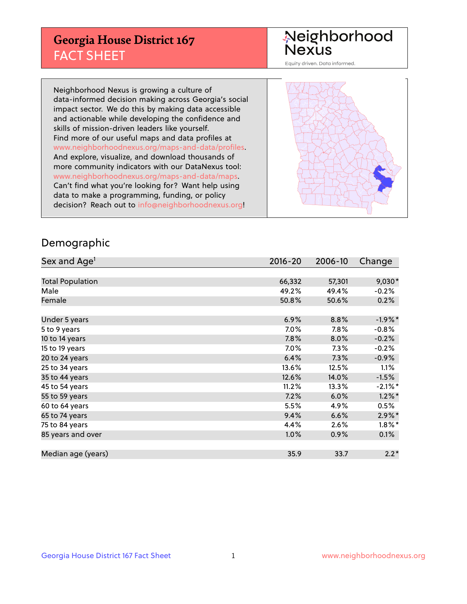## **Georgia House District 167** FACT SHEET

# Neighborhood<br>Nexus

Equity driven. Data informed.

Neighborhood Nexus is growing a culture of data-informed decision making across Georgia's social impact sector. We do this by making data accessible and actionable while developing the confidence and skills of mission-driven leaders like yourself. Find more of our useful maps and data profiles at www.neighborhoodnexus.org/maps-and-data/profiles. And explore, visualize, and download thousands of more community indicators with our DataNexus tool: www.neighborhoodnexus.org/maps-and-data/maps. Can't find what you're looking for? Want help using data to make a programming, funding, or policy decision? Reach out to [info@neighborhoodnexus.org!](mailto:info@neighborhoodnexus.org)



### Demographic

| Sex and Age <sup>1</sup> | $2016 - 20$ | 2006-10 | Change     |
|--------------------------|-------------|---------|------------|
|                          |             |         |            |
| <b>Total Population</b>  | 66,332      | 57,301  | $9,030*$   |
| Male                     | 49.2%       | 49.4%   | $-0.2%$    |
| Female                   | 50.8%       | 50.6%   | 0.2%       |
|                          |             |         |            |
| Under 5 years            | 6.9%        | 8.8%    | $-1.9%$ *  |
| 5 to 9 years             | 7.0%        | 7.8%    | $-0.8%$    |
| 10 to 14 years           | 7.8%        | 8.0%    | $-0.2%$    |
| 15 to 19 years           | 7.0%        | 7.3%    | $-0.2%$    |
| 20 to 24 years           | 6.4%        | 7.3%    | $-0.9%$    |
| 25 to 34 years           | 13.6%       | 12.5%   | 1.1%       |
| 35 to 44 years           | 12.6%       | 14.0%   | $-1.5%$    |
| 45 to 54 years           | 11.2%       | 13.3%   | $-2.1\%$ * |
| 55 to 59 years           | 7.2%        | 6.0%    | $1.2\%$ *  |
| 60 to 64 years           | 5.5%        | 4.9%    | 0.5%       |
| 65 to 74 years           | 9.4%        | 6.6%    | $2.9\%$ *  |
| 75 to 84 years           | 4.4%        | 2.6%    | $1.8\%$ *  |
| 85 years and over        | 1.0%        | 0.9%    | 0.1%       |
|                          |             |         |            |
| Median age (years)       | 35.9        | 33.7    | $2.2*$     |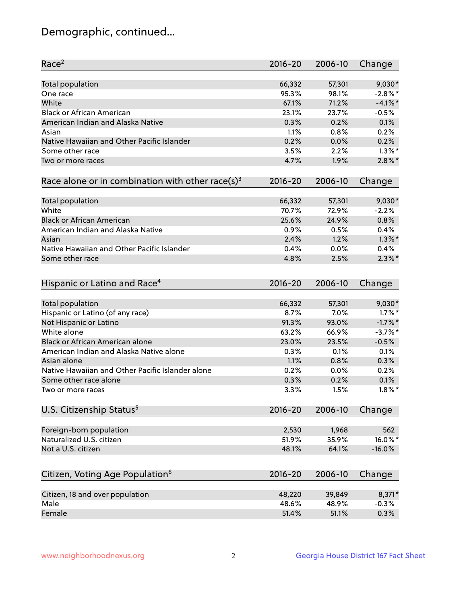## Demographic, continued...

| Race <sup>2</sup>                                            | $2016 - 20$ | 2006-10 | Change     |
|--------------------------------------------------------------|-------------|---------|------------|
| <b>Total population</b>                                      | 66,332      | 57,301  | $9,030*$   |
| One race                                                     | 95.3%       | 98.1%   | $-2.8\%$ * |
| White                                                        | 67.1%       | 71.2%   | $-4.1\%$ * |
| <b>Black or African American</b>                             | 23.1%       | 23.7%   | $-0.5%$    |
| American Indian and Alaska Native                            | 0.3%        | 0.2%    | 0.1%       |
| Asian                                                        | 1.1%        | 0.8%    | 0.2%       |
| Native Hawaiian and Other Pacific Islander                   | 0.2%        | 0.0%    | 0.2%       |
| Some other race                                              | 3.5%        | 2.2%    | $1.3\%$ *  |
| Two or more races                                            | 4.7%        | 1.9%    | $2.8\%$ *  |
| Race alone or in combination with other race(s) <sup>3</sup> | $2016 - 20$ | 2006-10 | Change     |
| <b>Total population</b>                                      | 66,332      | 57,301  | $9,030*$   |
| White                                                        | 70.7%       | 72.9%   | $-2.2%$    |
| <b>Black or African American</b>                             | 25.6%       | 24.9%   | 0.8%       |
| American Indian and Alaska Native                            | 0.9%        | 0.5%    | 0.4%       |
| Asian                                                        | 2.4%        | 1.2%    | $1.3\%$ *  |
| Native Hawaiian and Other Pacific Islander                   | 0.4%        | 0.0%    | 0.4%       |
| Some other race                                              | 4.8%        | 2.5%    | $2.3\%$ *  |
|                                                              |             |         |            |
| Hispanic or Latino and Race <sup>4</sup>                     | $2016 - 20$ | 2006-10 | Change     |
| Total population                                             | 66,332      | 57,301  | $9,030*$   |
| Hispanic or Latino (of any race)                             | 8.7%        | 7.0%    | $1.7\%$ *  |
| Not Hispanic or Latino                                       | 91.3%       | 93.0%   | $-1.7\%$ * |
| White alone                                                  | 63.2%       | 66.9%   | $-3.7\%$ * |
| Black or African American alone                              | 23.0%       | 23.5%   | $-0.5%$    |
| American Indian and Alaska Native alone                      | 0.3%        | 0.1%    | 0.1%       |
| Asian alone                                                  | 1.1%        | 0.8%    | 0.3%       |
| Native Hawaiian and Other Pacific Islander alone             | 0.2%        | 0.0%    | 0.2%       |
| Some other race alone                                        | 0.3%        | 0.2%    | 0.1%       |
| Two or more races                                            | 3.3%        | 1.5%    | $1.8\%$ *  |
| U.S. Citizenship Status <sup>5</sup>                         | $2016 - 20$ | 2006-10 | Change     |
|                                                              |             |         |            |
| Foreign-born population                                      | 2,530       | 1,968   | 562        |
| Naturalized U.S. citizen                                     | 51.9%       | 35.9%   | 16.0%*     |
| Not a U.S. citizen                                           | 48.1%       | 64.1%   | $-16.0%$   |
| Citizen, Voting Age Population <sup>6</sup>                  | $2016 - 20$ | 2006-10 | Change     |
| Citizen, 18 and over population                              | 48,220      | 39,849  | 8,371*     |
| Male                                                         | 48.6%       | 48.9%   | $-0.3%$    |
| Female                                                       | 51.4%       | 51.1%   | 0.3%       |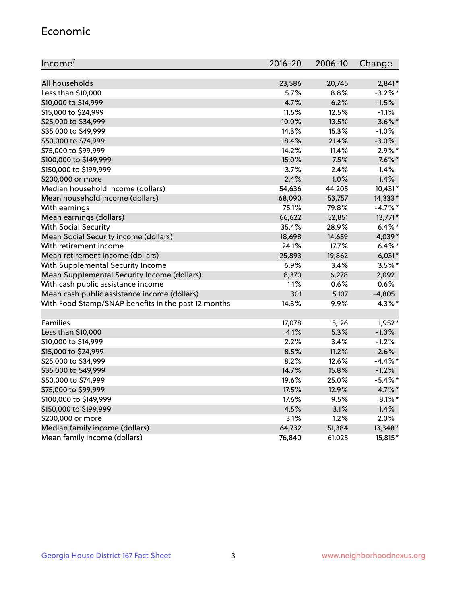#### Economic

| Income <sup>7</sup>                                 | $2016 - 20$ | 2006-10 | Change     |
|-----------------------------------------------------|-------------|---------|------------|
|                                                     |             |         |            |
| All households                                      | 23,586      | 20,745  | $2,841*$   |
| Less than \$10,000                                  | 5.7%        | 8.8%    | $-3.2\%$ * |
| \$10,000 to \$14,999                                | 4.7%        | 6.2%    | $-1.5%$    |
| \$15,000 to \$24,999                                | 11.5%       | 12.5%   | $-1.1%$    |
| \$25,000 to \$34,999                                | 10.0%       | 13.5%   | $-3.6\%$ * |
| \$35,000 to \$49,999                                | 14.3%       | 15.3%   | $-1.0%$    |
| \$50,000 to \$74,999                                | 18.4%       | 21.4%   | $-3.0%$    |
| \$75,000 to \$99,999                                | 14.2%       | 11.4%   | $2.9\%$ *  |
| \$100,000 to \$149,999                              | 15.0%       | 7.5%    | $7.6\%$ *  |
| \$150,000 to \$199,999                              | 3.7%        | 2.4%    | 1.4%       |
| \$200,000 or more                                   | 2.4%        | 1.0%    | 1.4%       |
| Median household income (dollars)                   | 54,636      | 44,205  | 10,431*    |
| Mean household income (dollars)                     | 68,090      | 53,757  | 14,333*    |
| With earnings                                       | 75.1%       | 79.8%   | $-4.7%$ *  |
| Mean earnings (dollars)                             | 66,622      | 52,851  | 13,771*    |
| <b>With Social Security</b>                         | 35.4%       | 28.9%   | $6.4\%$ *  |
| Mean Social Security income (dollars)               | 18,698      | 14,659  | 4,039*     |
| With retirement income                              | 24.1%       | 17.7%   | $6.4\%$ *  |
| Mean retirement income (dollars)                    | 25,893      | 19,862  | $6,031*$   |
| With Supplemental Security Income                   | 6.9%        | 3.4%    | $3.5%$ *   |
| Mean Supplemental Security Income (dollars)         | 8,370       | 6,278   | 2,092      |
| With cash public assistance income                  | 1.1%        | 0.6%    | 0.6%       |
| Mean cash public assistance income (dollars)        | 301         | 5,107   | $-4,805$   |
| With Food Stamp/SNAP benefits in the past 12 months | 14.3%       | 9.9%    | 4.3%*      |
|                                                     |             |         |            |
| Families                                            | 17,078      | 15,126  | $1,952*$   |
| Less than \$10,000                                  | 4.1%        | 5.3%    | $-1.3%$    |
| \$10,000 to \$14,999                                | 2.2%        | 3.4%    | $-1.2%$    |
| \$15,000 to \$24,999                                | 8.5%        | 11.2%   | $-2.6%$    |
| \$25,000 to \$34,999                                | 8.2%        | 12.6%   | $-4.4\%$ * |
| \$35,000 to \$49,999                                | 14.7%       | 15.8%   | $-1.2%$    |
| \$50,000 to \$74,999                                | 19.6%       | 25.0%   | $-5.4\%$ * |
| \$75,000 to \$99,999                                | 17.5%       | 12.9%   | 4.7%*      |
| \$100,000 to \$149,999                              | 17.6%       | 9.5%    | $8.1\%$ *  |
| \$150,000 to \$199,999                              | 4.5%        | 3.1%    | 1.4%       |
| \$200,000 or more                                   | 3.1%        | 1.2%    | 2.0%       |
| Median family income (dollars)                      | 64,732      | 51,384  | 13,348*    |
| Mean family income (dollars)                        | 76,840      | 61,025  | 15,815*    |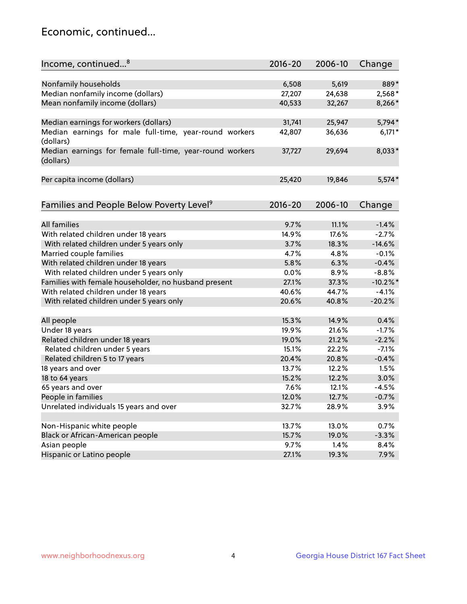## Economic, continued...

| Income, continued <sup>8</sup>                           | 2016-20 | 2006-10 | Change   |
|----------------------------------------------------------|---------|---------|----------|
|                                                          |         |         |          |
| Nonfamily households                                     | 6,508   | 5,619   | 889*     |
| Median nonfamily income (dollars)                        | 27,207  | 24,638  | 2,568*   |
| Mean nonfamily income (dollars)                          | 40,533  | 32,267  | 8,266*   |
|                                                          |         |         |          |
| Median earnings for workers (dollars)                    | 31,741  | 25,947  | 5,794*   |
| Median earnings for male full-time, year-round workers   | 42,807  | 36,636  | $6,171*$ |
| (dollars)                                                |         |         |          |
| Median earnings for female full-time, year-round workers | 37,727  | 29,694  | 8,033*   |
| (dollars)                                                |         |         |          |
|                                                          |         |         |          |
| Per capita income (dollars)                              | 25,420  | 19,846  | $5,574*$ |
|                                                          |         |         |          |
| Families and People Below Poverty Level <sup>9</sup>     | 2016-20 | 2006-10 | Change   |
|                                                          |         |         |          |
| <b>All families</b>                                      | 9.7%    | 11.1%   | $-1.4%$  |
| With related children under 18 years                     | 14.9%   | 17.6%   | $-2.7%$  |
| With related children under 5 years only                 | 3.7%    | 18.3%   | $-14.6%$ |
| Married couple families                                  | 4.7%    | 4.8%    | $-0.1%$  |
| With related children under 18 years                     | 5.8%    | 6.3%    | $-0.4%$  |
| With related children under 5 years only                 | 0.0%    | 8.9%    | $-8.8%$  |
| Families with female householder, no husband present     | 27.1%   | 37.3%   | $-10.2%$ |
| With related children under 18 years                     | 40.6%   | 44.7%   | $-4.1%$  |
| With related children under 5 years only                 | 20.6%   | 40.8%   | $-20.2%$ |
|                                                          |         |         |          |
| All people                                               | 15.3%   | 14.9%   | 0.4%     |
| Under 18 years                                           | 19.9%   | 21.6%   | $-1.7%$  |
| Related children under 18 years                          | 19.0%   | 21.2%   | $-2.2%$  |
| Related children under 5 years                           | 15.1%   | 22.2%   | $-7.1%$  |
| Related children 5 to 17 years                           | 20.4%   | 20.8%   | $-0.4%$  |
| 18 years and over                                        | 13.7%   | 12.2%   | 1.5%     |
| 18 to 64 years                                           | 15.2%   | 12.2%   | 3.0%     |
| 65 years and over                                        | 7.6%    | 12.1%   | $-4.5%$  |
| People in families                                       | 12.0%   | 12.7%   | $-0.7%$  |
| Unrelated individuals 15 years and over                  | 32.7%   | 28.9%   | 3.9%     |
|                                                          |         |         |          |
| Non-Hispanic white people                                | 13.7%   | 13.0%   | 0.7%     |
| Black or African-American people                         | 15.7%   | 19.0%   | $-3.3%$  |
| Asian people                                             | 9.7%    | 1.4%    | 8.4%     |
| Hispanic or Latino people                                | 27.1%   | 19.3%   | 7.9%     |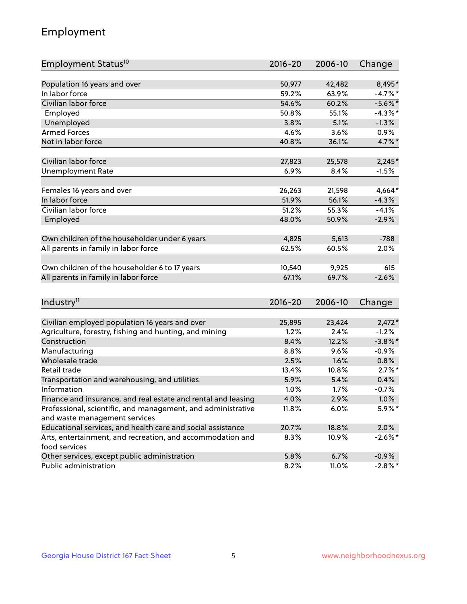## Employment

| Employment Status <sup>10</sup>                                                               | $2016 - 20$ | 2006-10 | Change     |
|-----------------------------------------------------------------------------------------------|-------------|---------|------------|
|                                                                                               |             |         |            |
| Population 16 years and over                                                                  | 50,977      | 42,482  | 8,495*     |
| In labor force                                                                                | 59.2%       | 63.9%   | $-4.7%$ *  |
| Civilian labor force                                                                          | 54.6%       | 60.2%   | $-5.6\%$ * |
| Employed                                                                                      | 50.8%       | 55.1%   | $-4.3\%$ * |
| Unemployed                                                                                    | 3.8%        | 5.1%    | $-1.3%$    |
| <b>Armed Forces</b>                                                                           | 4.6%        | 3.6%    | 0.9%       |
| Not in labor force                                                                            | 40.8%       | 36.1%   | 4.7%*      |
| Civilian labor force                                                                          | 27,823      | 25,578  | $2,245*$   |
| <b>Unemployment Rate</b>                                                                      | 6.9%        | 8.4%    | $-1.5%$    |
|                                                                                               |             |         |            |
| Females 16 years and over                                                                     | 26,263      | 21,598  | $4,664*$   |
| In labor force                                                                                | 51.9%       | 56.1%   | $-4.3%$    |
| Civilian labor force                                                                          | 51.2%       | 55.3%   | $-4.1%$    |
| Employed                                                                                      | 48.0%       | 50.9%   | $-2.9%$    |
| Own children of the householder under 6 years                                                 | 4,825       | 5,613   | $-788$     |
| All parents in family in labor force                                                          | 62.5%       | 60.5%   | 2.0%       |
|                                                                                               |             |         |            |
| Own children of the householder 6 to 17 years                                                 | 10,540      | 9,925   | 615        |
| All parents in family in labor force                                                          | 67.1%       | 69.7%   | $-2.6%$    |
|                                                                                               |             |         |            |
| Industry <sup>11</sup>                                                                        | $2016 - 20$ | 2006-10 | Change     |
|                                                                                               |             |         |            |
| Civilian employed population 16 years and over                                                | 25,895      | 23,424  | $2,472*$   |
| Agriculture, forestry, fishing and hunting, and mining                                        | 1.2%        | 2.4%    | $-1.2%$    |
| Construction                                                                                  | 8.4%        | 12.2%   | $-3.8\%$ * |
| Manufacturing                                                                                 | 8.8%        | 9.6%    | $-0.9%$    |
| Wholesale trade                                                                               | 2.5%        | 1.6%    | 0.8%       |
| Retail trade                                                                                  | 13.4%       | 10.8%   | $2.7\%$ *  |
| Transportation and warehousing, and utilities                                                 | 5.9%        | 5.4%    | 0.4%       |
| Information                                                                                   | 1.0%        | 1.7%    | $-0.7%$    |
| Finance and insurance, and real estate and rental and leasing                                 | 4.0%        | 2.9%    | $1.0\%$    |
| Professional, scientific, and management, and administrative<br>and waste management services | 11.8%       | 6.0%    | 5.9%*      |
| Educational services, and health care and social assistance                                   | 20.7%       | 18.8%   | 2.0%       |
| Arts, entertainment, and recreation, and accommodation and                                    | 8.3%        | 10.9%   | $-2.6\%$ * |
| food services                                                                                 |             |         |            |
| Other services, except public administration                                                  | 5.8%        | 6.7%    | $-0.9%$    |
| Public administration                                                                         | 8.2%        | 11.0%   | $-2.8\%$ * |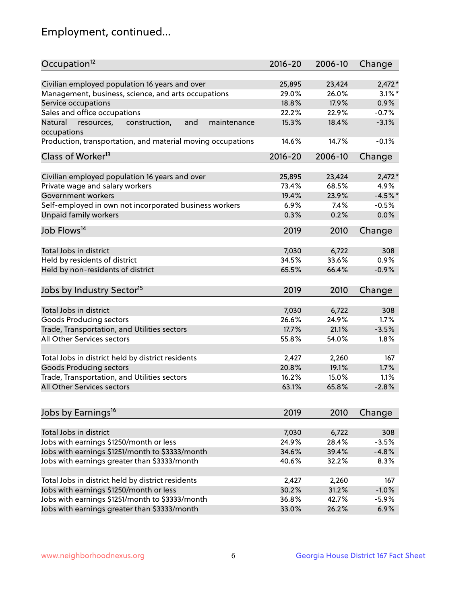## Employment, continued...

| Occupation <sup>12</sup>                                                    | $2016 - 20$ | 2006-10 | Change    |
|-----------------------------------------------------------------------------|-------------|---------|-----------|
| Civilian employed population 16 years and over                              | 25,895      | 23,424  | $2,472*$  |
| Management, business, science, and arts occupations                         | 29.0%       | 26.0%   | $3.1\%$ * |
| Service occupations                                                         | 18.8%       | 17.9%   | 0.9%      |
| Sales and office occupations                                                | 22.2%       | 22.9%   | $-0.7%$   |
|                                                                             |             |         |           |
| and<br>Natural<br>resources,<br>construction,<br>maintenance<br>occupations | 15.3%       | 18.4%   | $-3.1%$   |
| Production, transportation, and material moving occupations                 | 14.6%       | 14.7%   | $-0.1%$   |
| Class of Worker <sup>13</sup>                                               | $2016 - 20$ | 2006-10 | Change    |
|                                                                             |             |         |           |
| Civilian employed population 16 years and over                              | 25,895      | 23,424  | $2,472*$  |
| Private wage and salary workers                                             | 73.4%       | 68.5%   | 4.9%      |
| Government workers                                                          | 19.4%       | 23.9%   | $-4.5%$ * |
| Self-employed in own not incorporated business workers                      | $6.9\%$     | 7.4%    | $-0.5%$   |
| Unpaid family workers                                                       | 0.3%        | 0.2%    | 0.0%      |
| Job Flows <sup>14</sup>                                                     | 2019        | 2010    | Change    |
|                                                                             |             |         |           |
| Total Jobs in district                                                      | 7,030       | 6,722   | 308       |
| Held by residents of district                                               | 34.5%       | 33.6%   | 0.9%      |
| Held by non-residents of district                                           | 65.5%       | 66.4%   | $-0.9%$   |
| Jobs by Industry Sector <sup>15</sup>                                       | 2019        | 2010    | Change    |
|                                                                             |             |         |           |
| Total Jobs in district                                                      | 7,030       | 6,722   | 308       |
| Goods Producing sectors                                                     | 26.6%       | 24.9%   | 1.7%      |
| Trade, Transportation, and Utilities sectors                                | 17.7%       | 21.1%   | $-3.5%$   |
| All Other Services sectors                                                  | 55.8%       | 54.0%   | 1.8%      |
|                                                                             |             |         |           |
| Total Jobs in district held by district residents                           | 2,427       | 2,260   | 167       |
| <b>Goods Producing sectors</b>                                              | 20.8%       | 19.1%   | 1.7%      |
| Trade, Transportation, and Utilities sectors                                | 16.2%       | 15.0%   | 1.1%      |
| All Other Services sectors                                                  | 63.1%       | 65.8%   | $-2.8%$   |
|                                                                             |             |         |           |
| Jobs by Earnings <sup>16</sup>                                              | 2019        | 2010    | Change    |
| Total Jobs in district                                                      | 7,030       | 6,722   | 308       |
|                                                                             |             |         |           |
| Jobs with earnings \$1250/month or less                                     | 24.9%       | 28.4%   | $-3.5%$   |
| Jobs with earnings \$1251/month to \$3333/month                             | 34.6%       | 39.4%   | $-4.8%$   |
| Jobs with earnings greater than \$3333/month                                | 40.6%       | 32.2%   | 8.3%      |
| Total Jobs in district held by district residents                           | 2,427       | 2,260   | 167       |
| Jobs with earnings \$1250/month or less                                     | 30.2%       | 31.2%   | $-1.0%$   |
| Jobs with earnings \$1251/month to \$3333/month                             | 36.8%       | 42.7%   | $-5.9%$   |
| Jobs with earnings greater than \$3333/month                                | 33.0%       | 26.2%   | 6.9%      |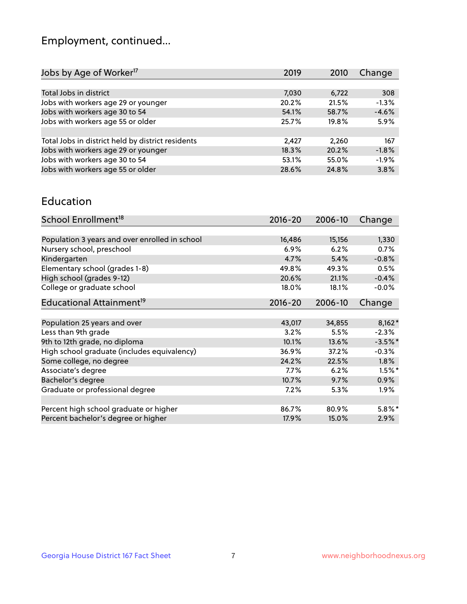## Employment, continued...

| Jobs by Age of Worker <sup>17</sup>               | 2019  | 2010  | Change  |
|---------------------------------------------------|-------|-------|---------|
|                                                   |       |       |         |
| Total Jobs in district                            | 7,030 | 6,722 | 308     |
| Jobs with workers age 29 or younger               | 20.2% | 21.5% | $-1.3%$ |
| Jobs with workers age 30 to 54                    | 54.1% | 58.7% | $-4.6%$ |
| Jobs with workers age 55 or older                 | 25.7% | 19.8% | 5.9%    |
|                                                   |       |       |         |
| Total Jobs in district held by district residents | 2,427 | 2,260 | 167     |
| Jobs with workers age 29 or younger               | 18.3% | 20.2% | $-1.8%$ |
| Jobs with workers age 30 to 54                    | 53.1% | 55.0% | $-1.9%$ |
| Jobs with workers age 55 or older                 | 28.6% | 24.8% | 3.8%    |
|                                                   |       |       |         |

#### Education

| School Enrollment <sup>18</sup>                | $2016 - 20$ | 2006-10 | Change    |
|------------------------------------------------|-------------|---------|-----------|
|                                                |             |         |           |
| Population 3 years and over enrolled in school | 16,486      | 15,156  | 1,330     |
| Nursery school, preschool                      | 6.9%        | 6.2%    | 0.7%      |
| Kindergarten                                   | 4.7%        | 5.4%    | $-0.8%$   |
| Elementary school (grades 1-8)                 | 49.8%       | 49.3%   | 0.5%      |
| High school (grades 9-12)                      | 20.6%       | 21.1%   | $-0.4%$   |
| College or graduate school                     | 18.0%       | 18.1%   | $-0.0%$   |
| Educational Attainment <sup>19</sup>           | $2016 - 20$ | 2006-10 | Change    |
|                                                |             |         |           |
| Population 25 years and over                   | 43,017      | 34,855  | $8,162*$  |
| Less than 9th grade                            | 3.2%        | 5.5%    | $-2.3%$   |
| 9th to 12th grade, no diploma                  | 10.1%       | 13.6%   | $-3.5%$ * |
| High school graduate (includes equivalency)    | 36.9%       | 37.2%   | $-0.3%$   |
| Some college, no degree                        | 24.2%       | 22.5%   | 1.8%      |
| Associate's degree                             | 7.7%        | 6.2%    | $1.5\%$ * |
| Bachelor's degree                              | 10.7%       | 9.7%    | $0.9\%$   |
| Graduate or professional degree                | 7.2%        | 5.3%    | $1.9\%$   |
|                                                |             |         |           |
| Percent high school graduate or higher         | 86.7%       | 80.9%   | $5.8\%$ * |
| Percent bachelor's degree or higher            | 17.9%       | 15.0%   | 2.9%      |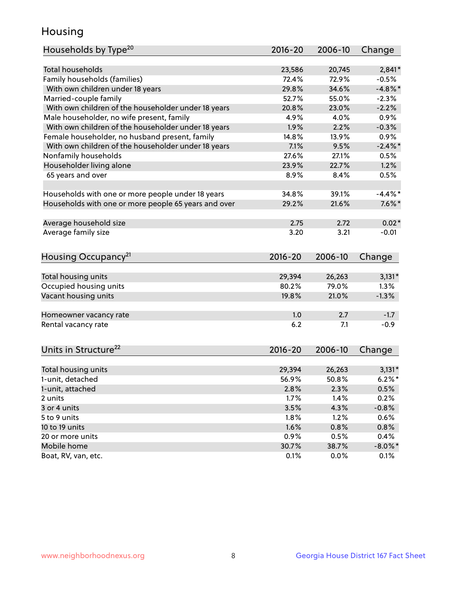## Housing

| Households by Type <sup>20</sup>                     | 2016-20     | 2006-10 | Change     |
|------------------------------------------------------|-------------|---------|------------|
|                                                      |             |         |            |
| <b>Total households</b>                              | 23,586      | 20,745  | $2,841*$   |
| Family households (families)                         | 72.4%       | 72.9%   | $-0.5%$    |
| With own children under 18 years                     | 29.8%       | 34.6%   | $-4.8\%$ * |
| Married-couple family                                | 52.7%       | 55.0%   | $-2.3%$    |
| With own children of the householder under 18 years  | 20.8%       | 23.0%   | $-2.2%$    |
| Male householder, no wife present, family            | 4.9%        | 4.0%    | 0.9%       |
| With own children of the householder under 18 years  | 1.9%        | 2.2%    | $-0.3%$    |
| Female householder, no husband present, family       | 14.8%       | 13.9%   | 0.9%       |
| With own children of the householder under 18 years  | 7.1%        | 9.5%    | $-2.4\%$   |
| Nonfamily households                                 | 27.6%       | 27.1%   | 0.5%       |
| Householder living alone                             | 23.9%       | 22.7%   | 1.2%       |
| 65 years and over                                    | 8.9%        | 8.4%    | 0.5%       |
| Households with one or more people under 18 years    | 34.8%       | 39.1%   | $-4.4\%$ * |
| Households with one or more people 65 years and over | 29.2%       | 21.6%   | $7.6\%$ *  |
| Average household size                               | 2.75        | 2.72    | $0.02*$    |
| Average family size                                  | 3.20        | 3.21    | $-0.01$    |
|                                                      |             |         |            |
| Housing Occupancy <sup>21</sup>                      | $2016 - 20$ | 2006-10 | Change     |
| Total housing units                                  | 29,394      | 26,263  | $3,131*$   |
| Occupied housing units                               | 80.2%       | 79.0%   | 1.3%       |
| Vacant housing units                                 | 19.8%       | 21.0%   | $-1.3%$    |
|                                                      |             |         |            |
| Homeowner vacancy rate                               | 1.0         | 2.7     | $-1.7$     |
| Rental vacancy rate                                  | 6.2         | 7.1     | $-0.9$     |
| Units in Structure <sup>22</sup>                     | 2016-20     | 2006-10 | Change     |
|                                                      |             |         |            |
| Total housing units                                  | 29,394      | 26,263  | $3,131*$   |
| 1-unit, detached                                     | 56.9%       | 50.8%   | $6.2%$ *   |
| 1-unit, attached                                     | 2.8%        | 2.3%    | 0.5%       |
| 2 units                                              | 1.7%        | 1.4%    | 0.2%       |
| 3 or 4 units                                         | 3.5%        | 4.3%    | $-0.8%$    |
| 5 to 9 units                                         | 1.8%        | 1.2%    | 0.6%       |
| 10 to 19 units                                       | 1.6%        | 0.8%    | 0.8%       |
| 20 or more units                                     | 0.9%        | 0.5%    | 0.4%       |
| Mobile home                                          | 30.7%       | 38.7%   | $-8.0\%$ * |
| Boat, RV, van, etc.                                  | 0.1%        | 0.0%    | 0.1%       |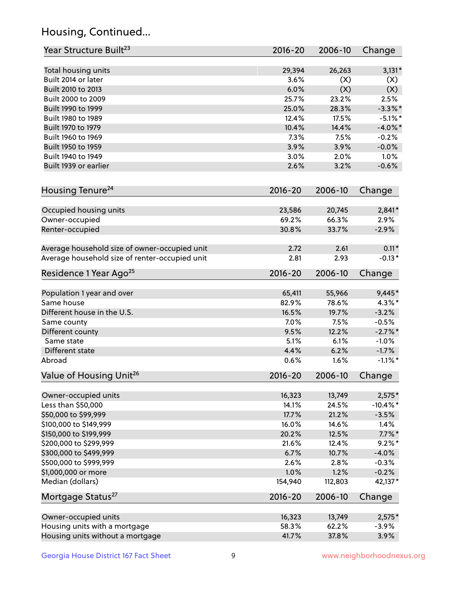## Housing, Continued...

| Year Structure Built <sup>23</sup>                    | 2016-20         | 2006-10         | Change              |
|-------------------------------------------------------|-----------------|-----------------|---------------------|
| Total housing units                                   | 29,394          | 26,263          | $3,131*$            |
| Built 2014 or later                                   | 3.6%            | (X)             | (X)                 |
| Built 2010 to 2013                                    | 6.0%            | (X)             | (X)                 |
| Built 2000 to 2009                                    | 25.7%           | 23.2%           | 2.5%                |
| Built 1990 to 1999                                    | 25.0%           | 28.3%           | $-3.3\%$ *          |
| Built 1980 to 1989                                    | 12.4%           | 17.5%           | $-5.1\%$ *          |
| Built 1970 to 1979                                    | 10.4%           | 14.4%           | $-4.0\%$ *          |
| Built 1960 to 1969                                    | 7.3%            | 7.5%            | $-0.2%$             |
| Built 1950 to 1959                                    | 3.9%            | 3.9%            | $-0.0%$             |
| Built 1940 to 1949                                    | 3.0%            | 2.0%            | 1.0%                |
| Built 1939 or earlier                                 | 2.6%            | 3.2%            | $-0.6%$             |
| Housing Tenure <sup>24</sup>                          | $2016 - 20$     | 2006-10         | Change              |
|                                                       |                 |                 |                     |
| Occupied housing units                                | 23,586          | 20,745          | $2,841*$            |
| Owner-occupied                                        | 69.2%           | 66.3%           | 2.9%                |
| Renter-occupied                                       | 30.8%           | 33.7%           | $-2.9%$             |
| Average household size of owner-occupied unit         | 2.72            | 2.61            | $0.11*$             |
| Average household size of renter-occupied unit        | 2.81            | 2.93            | $-0.13*$            |
| Residence 1 Year Ago <sup>25</sup>                    | $2016 - 20$     | 2006-10         | Change              |
| Population 1 year and over                            | 65,411          | 55,966          | $9,445*$            |
| Same house                                            | 82.9%           | 78.6%           | $4.3\%$ *           |
| Different house in the U.S.                           | 16.5%           | 19.7%           | $-3.2%$             |
| Same county                                           | 7.0%            | 7.5%            | $-0.5%$             |
| Different county                                      | 9.5%            | 12.2%           | $-2.7\%$ *          |
| Same state                                            | 5.1%            | 6.1%            | $-1.0%$             |
| Different state                                       | 4.4%            | 6.2%            | $-1.7%$             |
| Abroad                                                | 0.6%            | 1.6%            | $-1.1\%$ *          |
| Value of Housing Unit <sup>26</sup>                   | $2016 - 20$     | 2006-10         | Change              |
| Owner-occupied units                                  | 16,323          | 13,749          | $2,575*$            |
| Less than \$50,000                                    | 14.1%           | 24.5%           | $-10.4\%$ *         |
| \$50,000 to \$99,999                                  | 17.7%           | 21.2%           | $-3.5%$             |
| \$100,000 to \$149,999                                | 16.0%           | 14.6%           | 1.4%                |
| \$150,000 to \$199,999                                | 20.2%           | 12.5%           | $7.7\%$ *           |
| \$200,000 to \$299,999                                | 21.6%           | 12.4%           | $9.2\%$ *           |
| \$300,000 to \$499,999                                | 6.7%            | 10.7%           | $-4.0%$             |
| \$500,000 to \$999,999                                | 2.6%            | 2.8%            | $-0.3%$             |
| \$1,000,000 or more                                   | 1.0%            | 1.2%            | $-0.2%$             |
| Median (dollars)                                      | 154,940         | 112,803         | 42,137*             |
| Mortgage Status <sup>27</sup>                         | $2016 - 20$     | 2006-10         | Change              |
|                                                       |                 |                 |                     |
| Owner-occupied units<br>Housing units with a mortgage | 16,323<br>58.3% | 13,749<br>62.2% | $2,575*$<br>$-3.9%$ |
|                                                       |                 |                 |                     |
| Housing units without a mortgage                      | 41.7%           | 37.8%           | 3.9%                |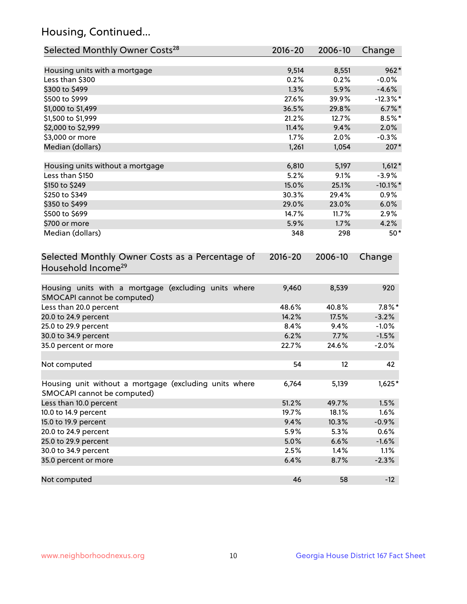## Housing, Continued...

| Selected Monthly Owner Costs <sup>28</sup>                                            | 2016-20 | 2006-10 | Change      |
|---------------------------------------------------------------------------------------|---------|---------|-------------|
| Housing units with a mortgage                                                         | 9,514   | 8,551   | $962*$      |
| Less than \$300                                                                       | 0.2%    | 0.2%    | $-0.0\%$    |
| \$300 to \$499                                                                        | 1.3%    | 5.9%    | $-4.6%$     |
| \$500 to \$999                                                                        | 27.6%   | 39.9%   | $-12.3\%$ * |
| \$1,000 to \$1,499                                                                    | 36.5%   | 29.8%   | $6.7\%$ *   |
| \$1,500 to \$1,999                                                                    | 21.2%   | 12.7%   | $8.5\%$ *   |
| \$2,000 to \$2,999                                                                    | 11.4%   | 9.4%    | 2.0%        |
| \$3,000 or more                                                                       | 1.7%    | 2.0%    | $-0.3%$     |
| Median (dollars)                                                                      | 1,261   | 1,054   | $207*$      |
| Housing units without a mortgage                                                      | 6,810   | 5,197   | $1,612*$    |
| Less than \$150                                                                       | 5.2%    | 9.1%    | $-3.9%$     |
| \$150 to \$249                                                                        | 15.0%   | 25.1%   | $-10.1\%$ * |
| \$250 to \$349                                                                        | 30.3%   | 29.4%   | 0.9%        |
| \$350 to \$499                                                                        | 29.0%   | 23.0%   | 6.0%        |
| \$500 to \$699                                                                        | 14.7%   | 11.7%   | 2.9%        |
| \$700 or more                                                                         | 5.9%    | 1.7%    | 4.2%        |
| Median (dollars)                                                                      | 348     | 298     | $50*$       |
| Selected Monthly Owner Costs as a Percentage of<br>Household Income <sup>29</sup>     |         |         | Change      |
| Housing units with a mortgage (excluding units where<br>SMOCAPI cannot be computed)   | 9,460   | 8,539   | 920         |
| Less than 20.0 percent                                                                | 48.6%   | 40.8%   | $7.8\%$ *   |
| 20.0 to 24.9 percent                                                                  | 14.2%   | 17.5%   | $-3.2%$     |
| 25.0 to 29.9 percent                                                                  | 8.4%    | 9.4%    | $-1.0%$     |
| 30.0 to 34.9 percent                                                                  | 6.2%    | 7.7%    | $-1.5%$     |
| 35.0 percent or more                                                                  | 22.7%   | 24.6%   | $-2.0%$     |
| Not computed                                                                          | 54      | 12      | 42          |
| Housing unit without a mortgage (excluding units where<br>SMOCAPI cannot be computed) | 6,764   | 5,139   | $1,625*$    |
| Less than 10.0 percent                                                                | 51.2%   | 49.7%   | 1.5%        |
| 10.0 to 14.9 percent                                                                  | 19.7%   | 18.1%   | 1.6%        |
| 15.0 to 19.9 percent                                                                  | 9.4%    | 10.3%   | $-0.9%$     |
| 20.0 to 24.9 percent                                                                  | 5.9%    | 5.3%    | 0.6%        |
| 25.0 to 29.9 percent                                                                  | 5.0%    | 6.6%    | $-1.6%$     |
| 30.0 to 34.9 percent                                                                  | 2.5%    | 1.4%    | 1.1%        |
| 35.0 percent or more                                                                  | 6.4%    | 8.7%    | $-2.3%$     |
| Not computed                                                                          | 46      | 58      | $-12$       |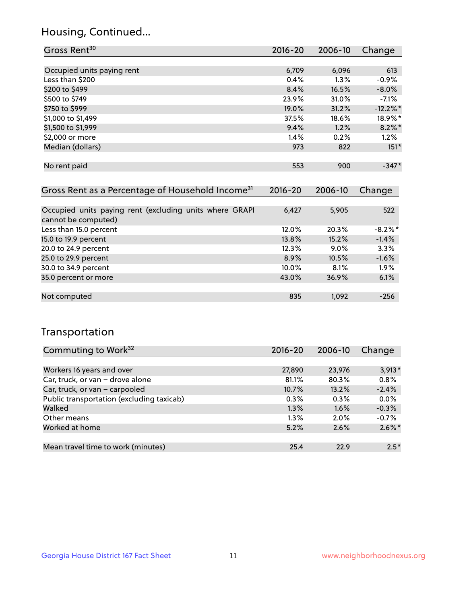## Housing, Continued...

| Gross Rent <sup>30</sup>   | 2016-20 | 2006-10 | Change     |
|----------------------------|---------|---------|------------|
|                            |         |         |            |
| Occupied units paying rent | 6,709   | 6,096   | 613        |
| Less than \$200            | 0.4%    | 1.3%    | $-0.9%$    |
| \$200 to \$499             | 8.4%    | 16.5%   | $-8.0\%$   |
| \$500 to \$749             | 23.9%   | 31.0%   | $-7.1%$    |
| \$750 to \$999             | 19.0%   | 31.2%   | $-12.2%$ * |
| \$1,000 to \$1,499         | 37.5%   | 18.6%   | 18.9%*     |
| \$1,500 to \$1,999         | 9.4%    | 1.2%    | $8.2\%$ *  |
| \$2,000 or more            | 1.4%    | 0.2%    | 1.2%       |
| Median (dollars)           | 973     | 822     | $151*$     |
|                            |         |         |            |
| No rent paid               | 553     | 900     | $-347*$    |

| Gross Rent as a Percentage of Household Income <sup>31</sup>                   | $2016 - 20$ | 2006-10 | Change     |
|--------------------------------------------------------------------------------|-------------|---------|------------|
|                                                                                |             |         |            |
| Occupied units paying rent (excluding units where GRAPI<br>cannot be computed) | 6,427       | 5,905   | 522        |
| Less than 15.0 percent                                                         | 12.0%       | 20.3%   | $-8.2\%$ * |
| 15.0 to 19.9 percent                                                           | 13.8%       | 15.2%   | $-1.4%$    |
| 20.0 to 24.9 percent                                                           | 12.3%       | $9.0\%$ | 3.3%       |
| 25.0 to 29.9 percent                                                           | 8.9%        | 10.5%   | $-1.6%$    |
| 30.0 to 34.9 percent                                                           | $10.0\%$    | 8.1%    | 1.9%       |
| 35.0 percent or more                                                           | 43.0%       | 36.9%   | 6.1%       |
|                                                                                |             |         |            |
| Not computed                                                                   | 835         | 1,092   | $-256$     |

## Transportation

| Commuting to Work <sup>32</sup>           | 2016-20 | 2006-10 | Change    |
|-------------------------------------------|---------|---------|-----------|
|                                           |         |         |           |
| Workers 16 years and over                 | 27,890  | 23,976  | $3,913*$  |
| Car, truck, or van - drove alone          | 81.1%   | 80.3%   | 0.8%      |
| Car, truck, or van - carpooled            | 10.7%   | 13.2%   | $-2.4%$   |
| Public transportation (excluding taxicab) | 0.3%    | 0.3%    | 0.0%      |
| Walked                                    | 1.3%    | 1.6%    | $-0.3%$   |
| Other means                               | $1.3\%$ | 2.0%    | $-0.7%$   |
| Worked at home                            | 5.2%    | 2.6%    | $2.6\%$ * |
|                                           |         |         |           |
| Mean travel time to work (minutes)        | 25.4    | 22.9    | $2.5*$    |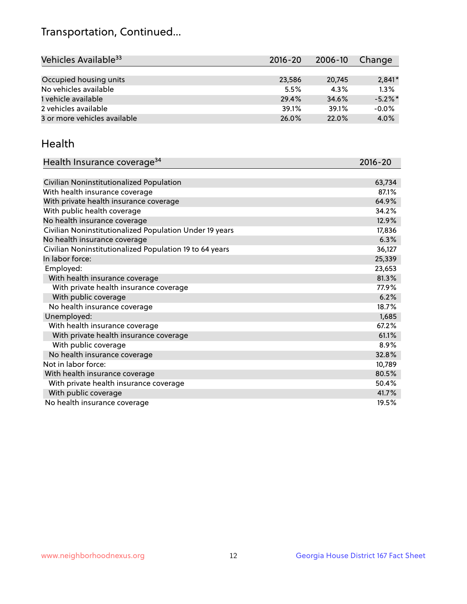## Transportation, Continued...

| Vehicles Available <sup>33</sup> | $2016 - 20$ | 2006-10 | Change     |
|----------------------------------|-------------|---------|------------|
|                                  |             |         |            |
| Occupied housing units           | 23,586      | 20,745  | $2,841*$   |
| No vehicles available            | 5.5%        | 4.3%    | 1.3%       |
| 1 vehicle available              | 29.4%       | 34.6%   | $-5.2\%$ * |
| 2 vehicles available             | 39.1%       | 39.1%   | $-0.0%$    |
| 3 or more vehicles available     | 26.0%       | 22.0%   | 4.0%       |

#### Health

| Health Insurance coverage <sup>34</sup>                 | 2016-20 |
|---------------------------------------------------------|---------|
|                                                         |         |
| Civilian Noninstitutionalized Population                | 63,734  |
| With health insurance coverage                          | 87.1%   |
| With private health insurance coverage                  | 64.9%   |
| With public health coverage                             | 34.2%   |
| No health insurance coverage                            | 12.9%   |
| Civilian Noninstitutionalized Population Under 19 years | 17,836  |
| No health insurance coverage                            | 6.3%    |
| Civilian Noninstitutionalized Population 19 to 64 years | 36,127  |
| In labor force:                                         | 25,339  |
| Employed:                                               | 23,653  |
| With health insurance coverage                          | 81.3%   |
| With private health insurance coverage                  | 77.9%   |
| With public coverage                                    | 6.2%    |
| No health insurance coverage                            | 18.7%   |
| Unemployed:                                             | 1,685   |
| With health insurance coverage                          | 67.2%   |
| With private health insurance coverage                  | 61.1%   |
| With public coverage                                    | 8.9%    |
| No health insurance coverage                            | 32.8%   |
| Not in labor force:                                     | 10,789  |
| With health insurance coverage                          | 80.5%   |
| With private health insurance coverage                  | 50.4%   |
| With public coverage                                    | 41.7%   |
| No health insurance coverage                            | 19.5%   |